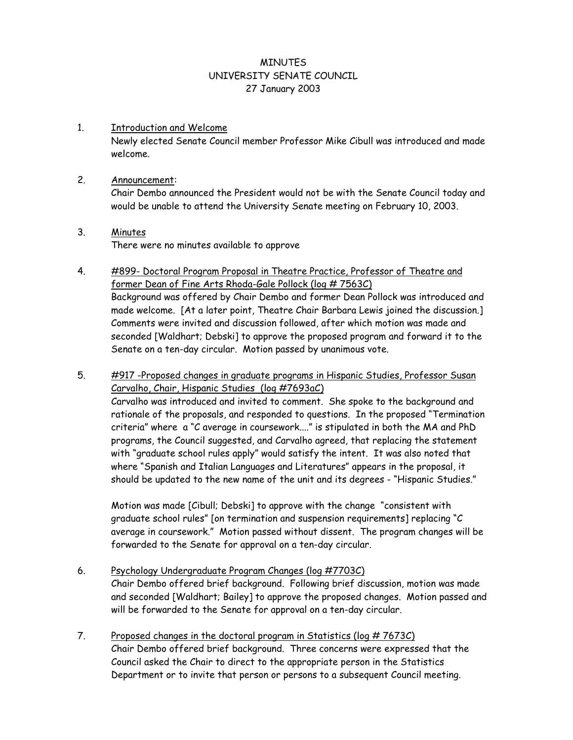### **MINUTES** UNIVERSITY SENATE COUNCIL 27 January 2003

1. Introduction and Welcome Newly elected Senate Council member Professor Mike Cibull was introduced and made welcome.

### 2. Announcement:

Chair Dembo announced the President would not be with the Senate Council today and would be unable to attend the University Senate meeting on February 10, 2003.

### 3. Minutes There were no minutes available to approve

- 4. #899- Doctoral Program Proposal in Theatre Practice, Professor of Theatre and former Dean of Fine Arts Rhoda-Gale Pollock (log # 7563C) Background was offered by Chair Dembo and former Dean Pollock was introduced and made welcome. [At a later point, Theatre Chair Barbara Lewis joined the discussion.] Comments were invited and discussion followed, after which motion was made and seconded [Waldhart; Debski] to approve the proposed program and forward it to the Senate on a ten-day circular. Motion passed by unanimous vote.
- 5. #917 -Proposed changes in graduate programs in Hispanic Studies, Professor Susan Carvalho, Chair, Hispanic Studies (log #7693aC)

 Carvalho was introduced and invited to comment. She spoke to the background and rationale of the proposals, and responded to questions. In the proposed "Termination criteria" where a "C average in coursework...." is stipulated in both the MA and PhD programs, the Council suggested, and Carvalho agreed, that replacing the statement with "graduate school rules apply" would satisfy the intent. It was also noted that where "Spanish and Italian Languages and Literatures" appears in the proposal, it should be updated to the new name of the unit and its degrees - "Hispanic Studies."

 Motion was made [Cibull; Debski] to approve with the change "consistent with graduate school rules" [on termination and suspension requirements] replacing "C average in coursework." Motion passed without dissent. The program changes will be forwarded to the Senate for approval on a ten-day circular.

# 6. Psychology Undergraduate Program Changes (log #7703C)

 Chair Dembo offered brief background. Following brief discussion, motion was made and seconded [Waldhart; Bailey] to approve the proposed changes. Motion passed and will be forwarded to the Senate for approval on a ten-day circular.

7. Proposed changes in the doctoral program in Statistics (log # 7673C)

Chair Dembo offered brief background. Three concerns were expressed that the Council asked the Chair to direct to the appropriate person in the Statistics Department or to invite that person or persons to a subsequent Council meeting.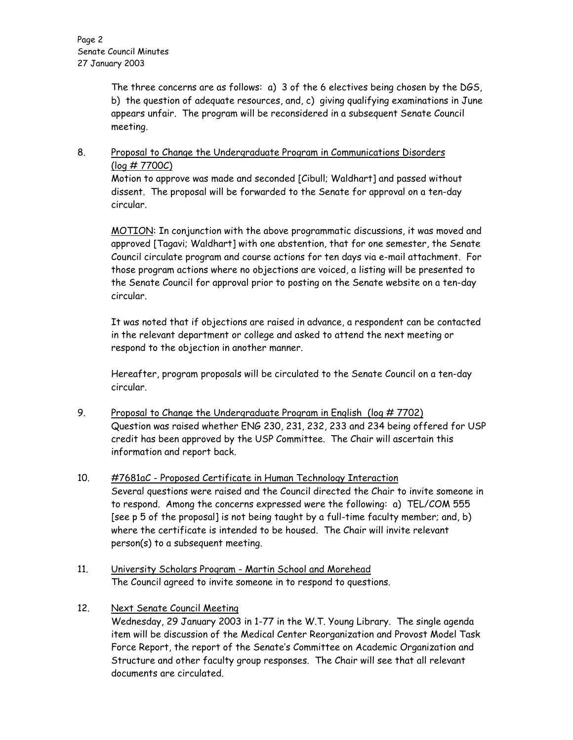The three concerns are as follows: a) 3 of the 6 electives being chosen by the DGS, b) the question of adequate resources, and, c) giving qualifying examinations in June appears unfair. The program will be reconsidered in a subsequent Senate Council meeting.

# 8. Proposal to Change the Undergraduate Program in Communications Disorders (log # 7700C)

 Motion to approve was made and seconded [Cibull; Waldhart] and passed without dissent. The proposal will be forwarded to the Senate for approval on a ten-day circular.

MOTION: In conjunction with the above programmatic discussions, it was moved and approved [Tagavi; Waldhart] with one abstention, that for one semester, the Senate Council circulate program and course actions for ten days via e-mail attachment. For those program actions where no objections are voiced, a listing will be presented to the Senate Council for approval prior to posting on the Senate website on a ten-day circular.

It was noted that if objections are raised in advance, a respondent can be contacted in the relevant department or college and asked to attend the next meeting or respond to the objection in another manner.

Hereafter, program proposals will be circulated to the Senate Council on a ten-day circular.

- 9. Proposal to Change the Undergraduate Program in English (log # 7702) Question was raised whether ENG 230, 231, 232, 233 and 234 being offered for USP credit has been approved by the USP Committee. The Chair will ascertain this information and report back.
- 10. #7681aC Proposed Certificate in Human Technology Interaction Several questions were raised and the Council directed the Chair to invite someone in to respond. Among the concerns expressed were the following: a) TEL/COM 555 [see p 5 of the proposal] is not being taught by a full-time faculty member; and, b) where the certificate is intended to be housed. The Chair will invite relevant person(s) to a subsequent meeting.
- 11. University Scholars Program Martin School and Morehead The Council agreed to invite someone in to respond to questions.

# 12. Next Senate Council Meeting

Wednesday, 29 January 2003 in 1-77 in the W.T. Young Library. The single agenda item will be discussion of the Medical Center Reorganization and Provost Model Task Force Report, the report of the Senate's Committee on Academic Organization and Structure and other faculty group responses. The Chair will see that all relevant documents are circulated.